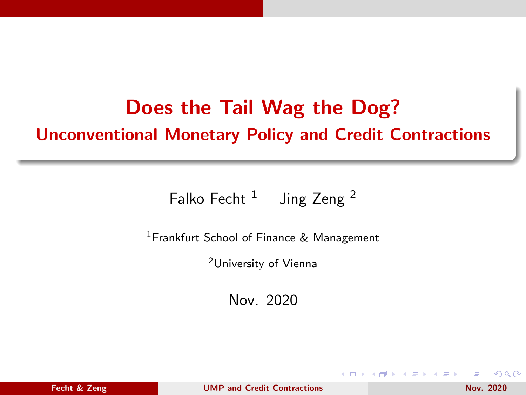# <span id="page-0-0"></span>Does the Tail Wag the Dog? Unconventional Monetary Policy and Credit Contractions

Falko Fecht  $1$  Jing Zeng  $2$ 

<sup>1</sup> Frankfurt School of Finance & Management

<sup>2</sup>University of Vienna

Nov. 2020

 $QQ$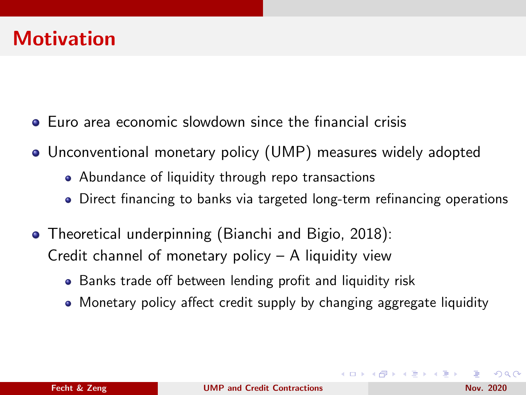### Motivation

- Euro area economic slowdown since the financial crisis
- Unconventional monetary policy (UMP) measures widely adopted
	- Abundance of liquidity through repo transactions
	- Direct financing to banks via targeted long-term refinancing operations
- Theoretical underpinning (Bianchi and Bigio, 2018): Credit channel of monetary policy – A liquidity view
	- Banks trade off between lending profit and liquidity risk
	- Monetary policy affect credit supply by changing aggregate liquidity

 $\Omega$ 

**≮ロト (何) (日) (日)**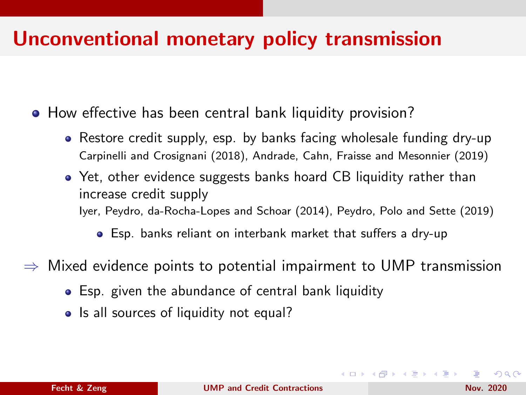#### Unconventional monetary policy transmission

• How effective has been central bank liquidity provision?

- Restore credit supply, esp. by banks facing wholesale funding dry-up Carpinelli and Crosignani (2018), Andrade, Cahn, Fraisse and Mesonnier (2019)
- Yet, other evidence suggests banks hoard CB liquidity rather than increase credit supply Iyer, Peydro, da-Rocha-Lopes and Schoar (2014), Peydro, Polo and Sette (2019)

Esp. banks reliant on interbank market that suffers a dry-up

Mixed evidence points to potential impairment to UMP transmission

- Esp. given the abundance of central bank liquidity
- Is all sources of liquidity not equal?

 $\Omega$ 

イロト イ押 トイヨ トイヨ トー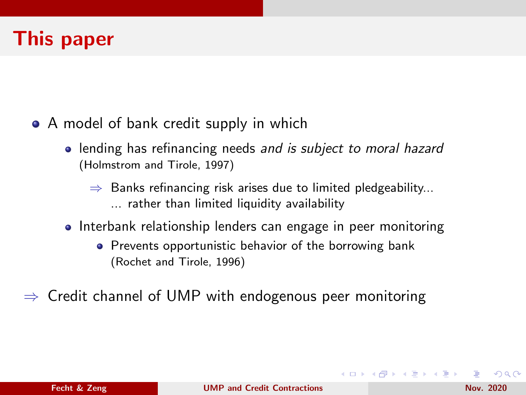### This paper

- A model of bank credit supply in which
	- lending has refinancing needs and is subject to moral hazard (Holmstrom and Tirole, 1997)
		- $\Rightarrow$  Banks refinancing risk arises due to limited pledgeability... ... rather than limited liquidity availability
	- Interbank relationship lenders can engage in peer monitoring
		- Prevents opportunistic behavior of the borrowing bank (Rochet and Tirole, 1996)

 $\Rightarrow$  Credit channel of UMP with endogenous peer monitoring

 $200$ 

イロト イ押 トイヨ トイヨ トー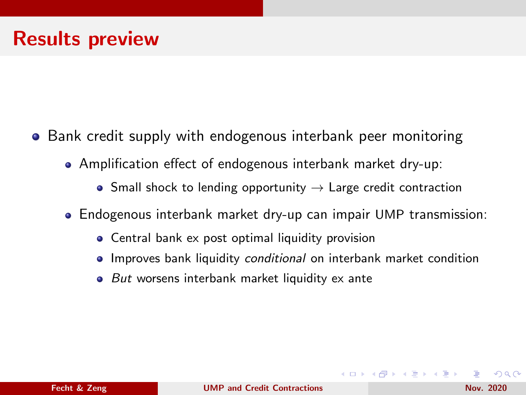- **•** Bank credit supply with endogenous interbank peer monitoring
	- Amplification effect of endogenous interbank market dry-up:
		- Small shock to lending opportunity  $\rightarrow$  Large credit contraction
	- Endogenous interbank market dry-up can impair UMP transmission:
		- Central bank ex post optimal liquidity provision
		- Improves bank liquidity conditional on interbank market condition
		- $\bullet$  But worsens interbank market liquidity ex ante

 $\Omega$ 

∢ロ ▶ ∢母 ▶ ∢ ヨ ▶ ∢ ヨ ▶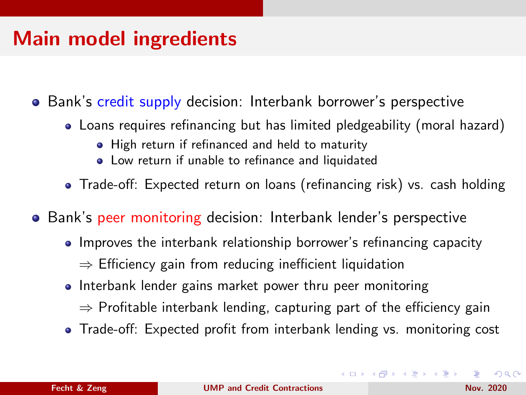### Main model ingredients

• Bank's credit supply decision: Interbank borrower's perspective

- Loans requires refinancing but has limited pledgeability (moral hazard)
	- High return if refinanced and held to maturity
	- Low return if unable to refinance and liquidated
- Trade-off: Expected return on loans (refinancing risk) vs. cash holding
- Bank's peer monitoring decision: Interbank lender's perspective
	- Improves the interbank relationship borrower's refinancing capacity  $\Rightarrow$  Efficiency gain from reducing inefficient liquidation
	- Interbank lender gains market power thru peer monitoring
		- $\Rightarrow$  Profitable interbank lending, capturing part of the efficiency gain
	- Trade-off: Expected profit from interbank lending vs. monitoring cost

 $2990$ 

イロト イ押 トイヨト イヨト 一国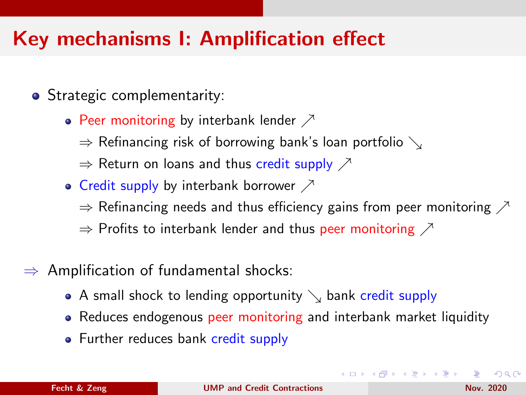# <span id="page-6-0"></span>Key mechanisms I: Amplification effect

- Strategic complementarity:
	- Peer monitoring by interbank lender  $\nearrow$ 
		- $\Rightarrow$  Refinancing risk of borrowing bank's loan portfolio  $\searrow$
		- $\Rightarrow$  Return on loans and thus credit supply  $\nearrow$
	- Credit supply by interbank borrower  $\nearrow$ 
		- $\Rightarrow$  Refinancing needs and thus efficiency gains from peer monitoring  $\nearrow$
		- $\Rightarrow$  Profits to interbank lender and thus peer monitoring  $\nearrow$
- $\Rightarrow$  Amplification of fundamental shocks:
	- A small shock to lending opportunity  $\setminus$  bank credit supply
	- Reduces endogenous peer monitoring and interbank market liquidity
	- Further reduces bank credit supply

 $2990$